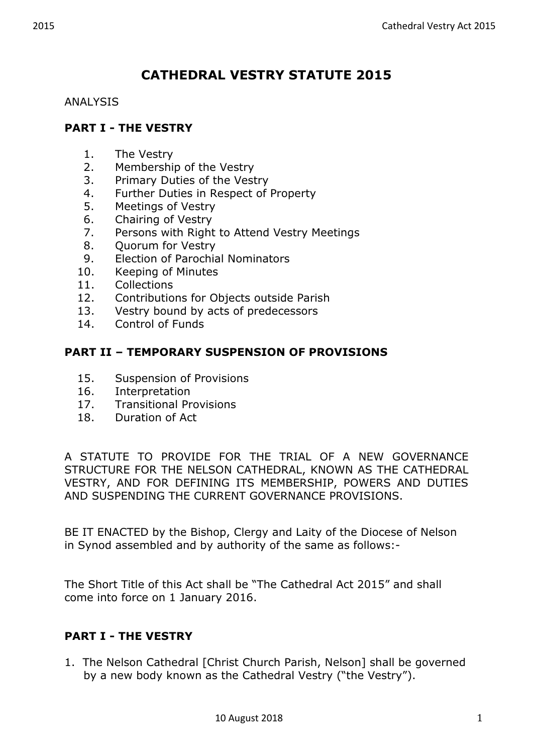# **CATHEDRAL VESTRY STATUTE 2015**

#### ANALYSIS

# **PART I - THE VESTRY**

- 1. The Vestry
- 2. Membership of the Vestry
- 3. Primary Duties of the Vestry
- 4. Further Duties in Respect of Property
- 5. Meetings of Vestry
- 6. Chairing of Vestry
- 7. Persons with Right to Attend Vestry Meetings
- 8. Ouorum for Vestry
- 9. Election of Parochial Nominators
- 10. Keeping of Minutes
- 11. Collections
- 12. Contributions for Objects outside Parish
- 13. Vestry bound by acts of predecessors
- 14. Control of Funds

# **PART II – TEMPORARY SUSPENSION OF PROVISIONS**

- 15. Suspension of Provisions
- 16. Interpretation
- 17. Transitional Provisions
- 18. Duration of Act

A STATUTE TO PROVIDE FOR THE TRIAL OF A NEW GOVERNANCE STRUCTURE FOR THE NELSON CATHEDRAL, KNOWN AS THE CATHEDRAL VESTRY, AND FOR DEFINING ITS MEMBERSHIP, POWERS AND DUTIES AND SUSPENDING THE CURRENT GOVERNANCE PROVISIONS.

BE IT ENACTED by the Bishop, Clergy and Laity of the Diocese of Nelson in Synod assembled and by authority of the same as follows:-

The Short Title of this Act shall be "The Cathedral Act 2015" and shall come into force on 1 January 2016.

# **PART I - THE VESTRY**

1. The Nelson Cathedral [Christ Church Parish, Nelson] shall be governed by a new body known as the Cathedral Vestry ("the Vestry").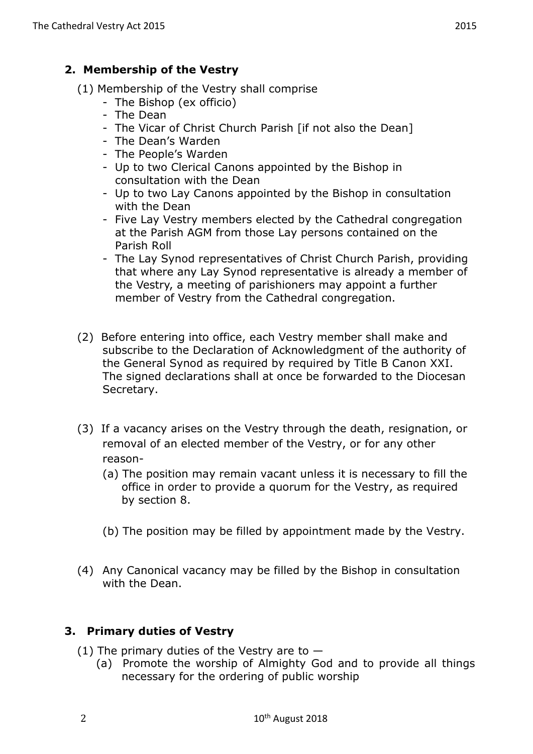# **2. Membership of the Vestry**

- (1) Membership of the Vestry shall comprise
	- The Bishop (ex officio)
	- The Dean
	- The Vicar of Christ Church Parish [if not also the Dean]
	- The Dean's Warden
	- The People's Warden
	- Up to two Clerical Canons appointed by the Bishop in consultation with the Dean
	- Up to two Lay Canons appointed by the Bishop in consultation with the Dean
	- Five Lay Vestry members elected by the Cathedral congregation at the Parish AGM from those Lay persons contained on the Parish Roll
	- The Lay Synod representatives of Christ Church Parish, providing that where any Lay Synod representative is already a member of the Vestry, a meeting of parishioners may appoint a further member of Vestry from the Cathedral congregation.
- (2) Before entering into office, each Vestry member shall make and subscribe to the Declaration of Acknowledgment of the authority of the General Synod as required by required by Title B Canon XXI. The signed declarations shall at once be forwarded to the Diocesan Secretary.
- (3) If a vacancy arises on the Vestry through the death, resignation, or removal of an elected member of the Vestry, or for any other reason-
	- (a) The position may remain vacant unless it is necessary to fill the office in order to provide a quorum for the Vestry, as required by section 8.
	- (b) The position may be filled by appointment made by the Vestry.
- (4) Any Canonical vacancy may be filled by the Bishop in consultation with the Dean.

# **3. Primary duties of Vestry**

- (1) The primary duties of the Vestry are to  $-$ 
	- (a) Promote the worship of Almighty God and to provide all things necessary for the ordering of public worship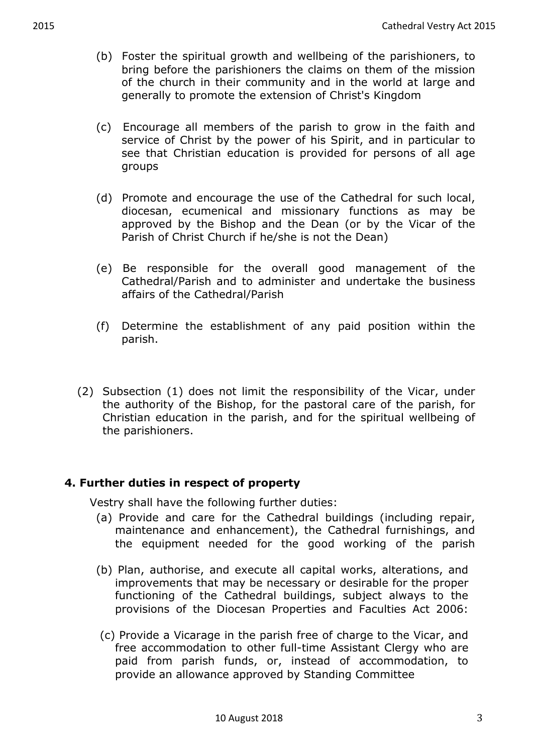- (b) Foster the spiritual growth and wellbeing of the parishioners, to bring before the parishioners the claims on them of the mission of the church in their community and in the world at large and generally to promote the extension of Christ's Kingdom
- (c) Encourage all members of the parish to grow in the faith and service of Christ by the power of his Spirit, and in particular to see that Christian education is provided for persons of all age groups
- (d) Promote and encourage the use of the Cathedral for such local, diocesan, ecumenical and missionary functions as may be approved by the Bishop and the Dean (or by the Vicar of the Parish of Christ Church if he/she is not the Dean)
- (e) Be responsible for the overall good management of the Cathedral/Parish and to administer and undertake the business affairs of the Cathedral/Parish
- (f) Determine the establishment of any paid position within the parish.
- (2) Subsection (1) does not limit the responsibility of the Vicar, under the authority of the Bishop, for the pastoral care of the parish, for Christian education in the parish, and for the spiritual wellbeing of the parishioners.

# **4. Further duties in respect of property**

Vestry shall have the following further duties:

- (a) Provide and care for the Cathedral buildings (including repair, maintenance and enhancement), the Cathedral furnishings, and the equipment needed for the good working of the parish
- (b) Plan, authorise, and execute all capital works, alterations, and improvements that may be necessary or desirable for the proper functioning of the Cathedral buildings, subject always to the provisions of the Diocesan Properties and Faculties Act 2006:
- (c) Provide a Vicarage in the parish free of charge to the Vicar, and free accommodation to other full-time Assistant Clergy who are paid from parish funds, or, instead of accommodation, to provide an allowance approved by Standing Committee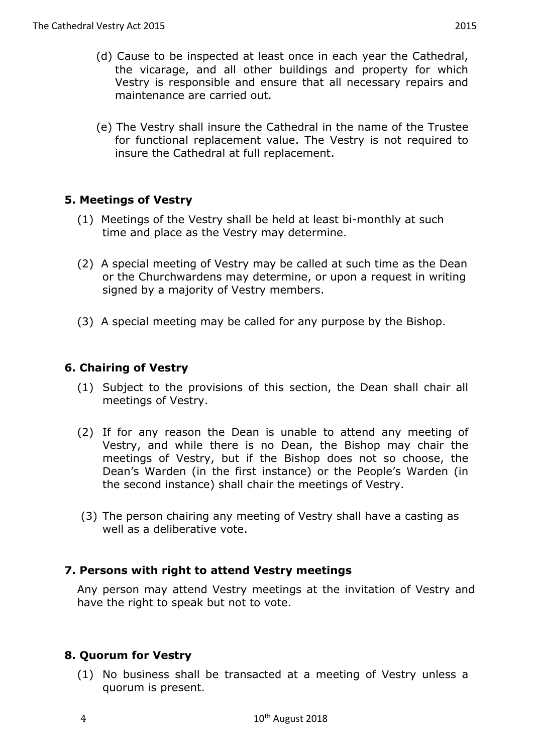- (d) Cause to be inspected at least once in each year the Cathedral, the vicarage, and all other buildings and property for which Vestry is responsible and ensure that all necessary repairs and maintenance are carried out.
- (e) The Vestry shall insure the Cathedral in the name of the Trustee for functional replacement value. The Vestry is not required to insure the Cathedral at full replacement.

#### **5. Meetings of Vestry**

- (1) Meetings of the Vestry shall be held at least bi-monthly at such time and place as the Vestry may determine.
- (2) A special meeting of Vestry may be called at such time as the Dean or the Churchwardens may determine, or upon a request in writing signed by a majority of Vestry members.
- (3) A special meeting may be called for any purpose by the Bishop.

# **6. Chairing of Vestry**

- (1) Subject to the provisions of this section, the Dean shall chair all meetings of Vestry.
- (2) If for any reason the Dean is unable to attend any meeting of Vestry, and while there is no Dean, the Bishop may chair the meetings of Vestry, but if the Bishop does not so choose, the Dean's Warden (in the first instance) or the People's Warden (in the second instance) shall chair the meetings of Vestry.
- (3) The person chairing any meeting of Vestry shall have a casting as well as a deliberative vote.

#### **7. Persons with right to attend Vestry meetings**

Any person may attend Vestry meetings at the invitation of Vestry and have the right to speak but not to vote.

# **8. Quorum for Vestry**

(1) No business shall be transacted at a meeting of Vestry unless a quorum is present.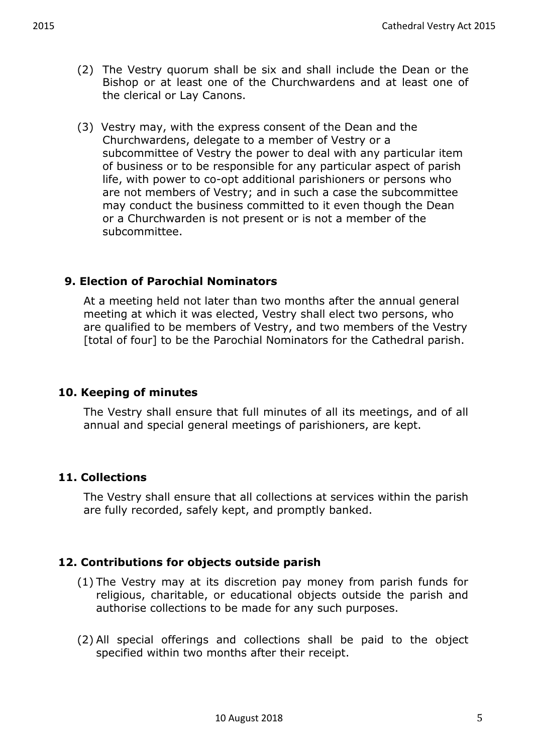- (2) The Vestry quorum shall be six and shall include the Dean or the Bishop or at least one of the Churchwardens and at least one of the clerical or Lay Canons.
- (3) Vestry may, with the express consent of the Dean and the Churchwardens, delegate to a member of Vestry or a subcommittee of Vestry the power to deal with any particular item of business or to be responsible for any particular aspect of parish life, with power to co-opt additional parishioners or persons who are not members of Vestry; and in such a case the subcommittee may conduct the business committed to it even though the Dean or a Churchwarden is not present or is not a member of the subcommittee.

# **9. Election of Parochial Nominators**

At a meeting held not later than two months after the annual general meeting at which it was elected, Vestry shall elect two persons, who are qualified to be members of Vestry, and two members of the Vestry [total of four] to be the Parochial Nominators for the Cathedral parish.

#### **10. Keeping of minutes**

The Vestry shall ensure that full minutes of all its meetings, and of all annual and special general meetings of parishioners, are kept.

# **11. Collections**

The Vestry shall ensure that all collections at services within the parish are fully recorded, safely kept, and promptly banked.

# **12. Contributions for objects outside parish**

- (1) The Vestry may at its discretion pay money from parish funds for religious, charitable, or educational objects outside the parish and authorise collections to be made for any such purposes.
- (2) All special offerings and collections shall be paid to the object specified within two months after their receipt.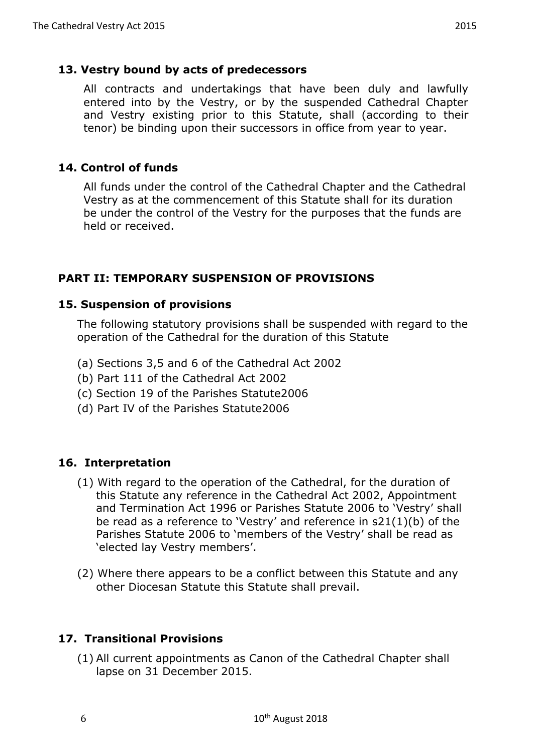#### **13. Vestry bound by acts of predecessors**

All contracts and undertakings that have been duly and lawfully entered into by the Vestry, or by the suspended Cathedral Chapter and Vestry existing prior to this Statute, shall (according to their tenor) be binding upon their successors in office from year to year.

#### **14. Control of funds**

All funds under the control of the Cathedral Chapter and the Cathedral Vestry as at the commencement of this Statute shall for its duration be under the control of the Vestry for the purposes that the funds are held or received.

# **PART II: TEMPORARY SUSPENSION OF PROVISIONS**

#### **15. Suspension of provisions**

The following statutory provisions shall be suspended with regard to the operation of the Cathedral for the duration of this Statute

- (a) Sections 3,5 and 6 of the Cathedral Act 2002
- (b) Part 111 of the Cathedral Act 2002
- (c) Section 19 of the Parishes Statute2006
- (d) Part IV of the Parishes Statute2006

# **16. Interpretation**

- (1) With regard to the operation of the Cathedral, for the duration of this Statute any reference in the Cathedral Act 2002, Appointment and Termination Act 1996 or Parishes Statute 2006 to 'Vestry' shall be read as a reference to 'Vestry' and reference in s21(1)(b) of the Parishes Statute 2006 to 'members of the Vestry' shall be read as 'elected lay Vestry members'.
- (2) Where there appears to be a conflict between this Statute and any other Diocesan Statute this Statute shall prevail.

# **17. Transitional Provisions**

(1) All current appointments as Canon of the Cathedral Chapter shall lapse on 31 December 2015.